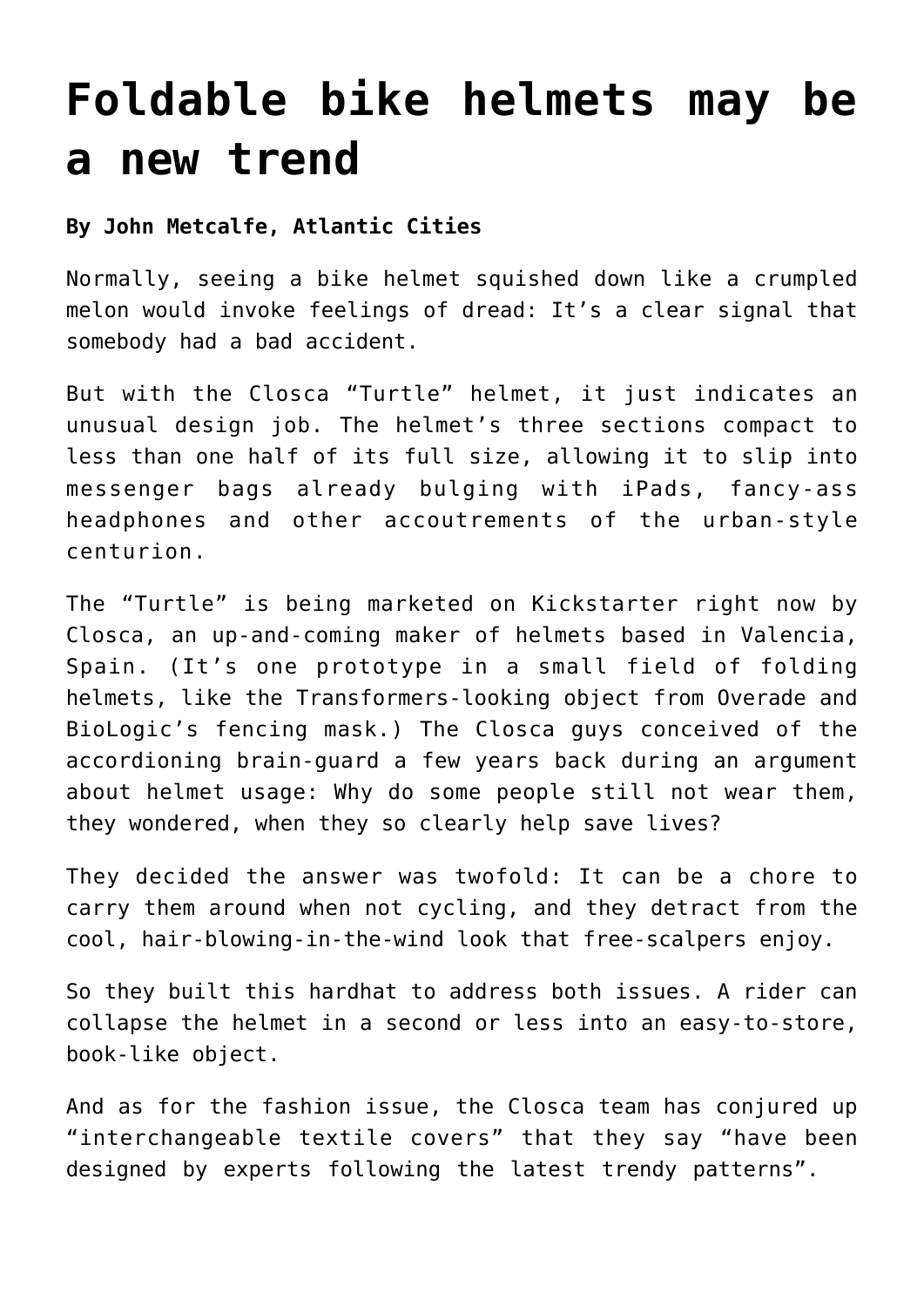## **[Foldable bike helmets may be](https://www.laketahoenews.net/2013/06/foldable-bike-helmets-may-be-a-new-trend/) [a new trend](https://www.laketahoenews.net/2013/06/foldable-bike-helmets-may-be-a-new-trend/)**

## **By John Metcalfe, Atlantic Cities**

Normally, seeing a bike helmet squished down like a crumpled melon would invoke feelings of dread: It's a clear signal that somebody had a bad accident.

But with the Closca "Turtle" helmet, it just indicates an unusual design job. The helmet's three sections compact to less than one half of its full size, allowing it to slip into messenger bags already bulging with iPads, fancy-ass headphones and other accoutrements of the urban-style centurion.

The "Turtle" is being marketed on Kickstarter right now by Closca, an up-and-coming maker of helmets based in Valencia, Spain. (It's one prototype in a small field of folding helmets, like the Transformers-looking object from Overade and BioLogic's fencing mask.) The Closca guys conceived of the accordioning brain-guard a few years back during an argument about helmet usage: Why do some people still not wear them, they wondered, when they so clearly help save lives?

They decided the answer was twofold: It can be a chore to carry them around when not cycling, and they detract from the cool, hair-blowing-in-the-wind look that free-scalpers enjoy.

So they built this hardhat to address both issues. A rider can collapse the helmet in a second or less into an easy-to-store, book-like object.

And as for the fashion issue, the Closca team has conjured up "interchangeable textile covers" that they say "have been designed by experts following the latest trendy patterns".